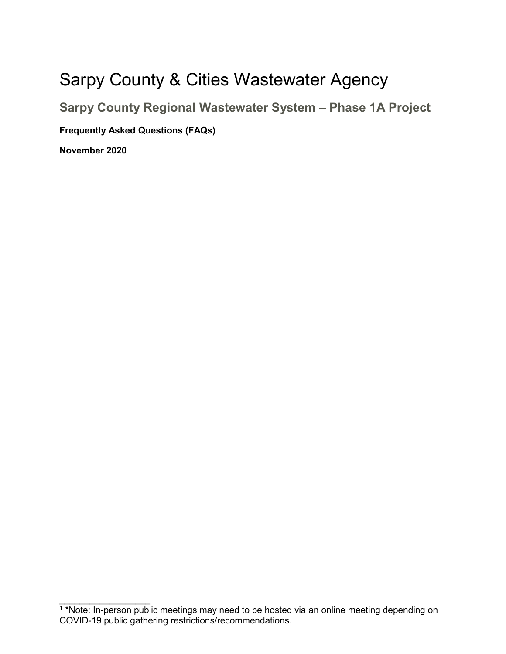## Sarpy County & Cities Wastewater Agency

**Sarpy County Regional Wastewater System – Phase 1A Project Frequently Asked Questions (FAQs) November 2020**

<sup>1</sup> \*Note: In-person public meetings may need to be hosted via an online meeting depending on COVID-19 public gathering restrictions/recommendations.

 $\overline{\phantom{a}}$  , where  $\overline{\phantom{a}}$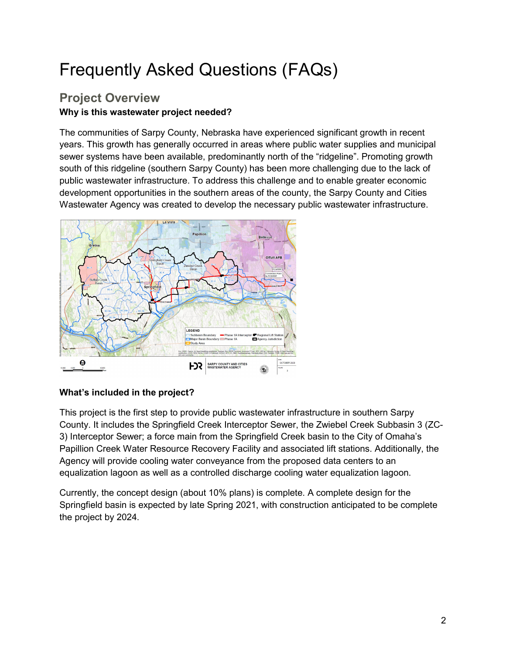# Frequently Asked Questions (FAQs)

## **Project Overview Why is this wastewater project needed?**

The communities of Sarpy County, Nebraska have experienced significant growth in recent years. This growth has generally occurred in areas where public water supplies and municipal sewer systems have been available, predominantly north of the "ridgeline". Promoting growth south of this ridgeline (southern Sarpy County) has been more challenging due to the lack of public wastewater infrastructure. To address this challenge and to enable greater economic development opportunities in the southern areas of the county, the Sarpy County and Cities Wastewater Agency was created to develop the necessary public wastewater infrastructure.



#### **What's included in the project?**

This project is the first step to provide public wastewater infrastructure in southern Sarpy County. It includes the Springfield Creek Interceptor Sewer, the Zwiebel Creek Subbasin 3 (ZC-3) Interceptor Sewer; a force main from the Springfield Creek basin to the City of Omaha's Papillion Creek Water Resource Recovery Facility and associated lift stations. Additionally, the Agency will provide cooling water conveyance from the proposed data centers to an equalization lagoon as well as a controlled discharge cooling water equalization lagoon.

Currently, the concept design (about 10% plans) is complete. A complete design for the Springfield basin is expected by late Spring 2021, with construction anticipated to be complete the project by 2024.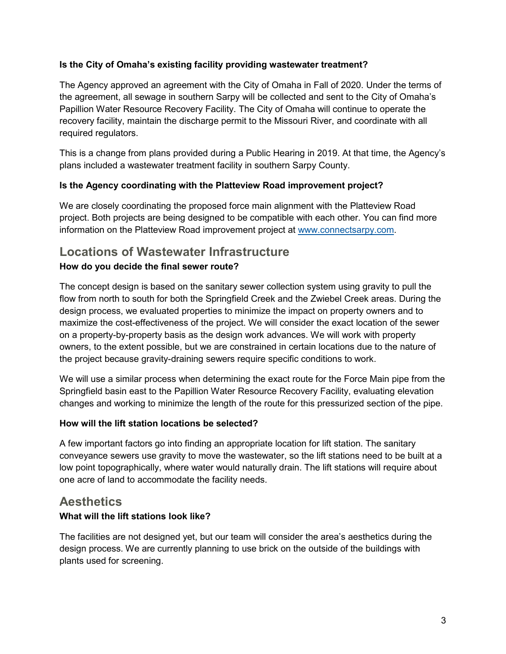#### **Is the City of Omaha's existing facility providing wastewater treatment?**

The Agency approved an agreement with the City of Omaha in Fall of 2020. Under the terms of the agreement, all sewage in southern Sarpy will be collected and sent to the City of Omaha's Papillion Water Resource Recovery Facility. The City of Omaha will continue to operate the recovery facility, maintain the discharge permit to the Missouri River, and coordinate with all required regulators.

This is a change from plans provided during a Public Hearing in 2019. At that time, the Agency's plans included a wastewater treatment facility in southern Sarpy County.

#### **Is the Agency coordinating with the Platteview Road improvement project?**

We are closely coordinating the proposed force main alignment with the Platteview Road project. Both projects are being designed to be compatible with each other. You can find more information on the Platteview Road improvement project at [www.connectsarpy.com.](http://www.connectsarpy.com/)

## **Locations of Wastewater Infrastructure**

#### **How do you decide the final sewer route?**

The concept design is based on the sanitary sewer collection system using gravity to pull the flow from north to south for both the Springfield Creek and the Zwiebel Creek areas. During the design process, we evaluated properties to minimize the impact on property owners and to maximize the cost-effectiveness of the project. We will consider the exact location of the sewer on a property-by-property basis as the design work advances. We will work with property owners, to the extent possible, but we are constrained in certain locations due to the nature of the project because gravity-draining sewers require specific conditions to work.

We will use a similar process when determining the exact route for the Force Main pipe from the Springfield basin east to the Papillion Water Resource Recovery Facility, evaluating elevation changes and working to minimize the length of the route for this pressurized section of the pipe.

#### **How will the lift station locations be selected?**

A few important factors go into finding an appropriate location for lift station. The sanitary conveyance sewers use gravity to move the wastewater, so the lift stations need to be built at a low point topographically, where water would naturally drain. The lift stations will require about one acre of land to accommodate the facility needs.

## **Aesthetics**

#### **What will the lift stations look like?**

The facilities are not designed yet, but our team will consider the area's aesthetics during the design process. We are currently planning to use brick on the outside of the buildings with plants used for screening.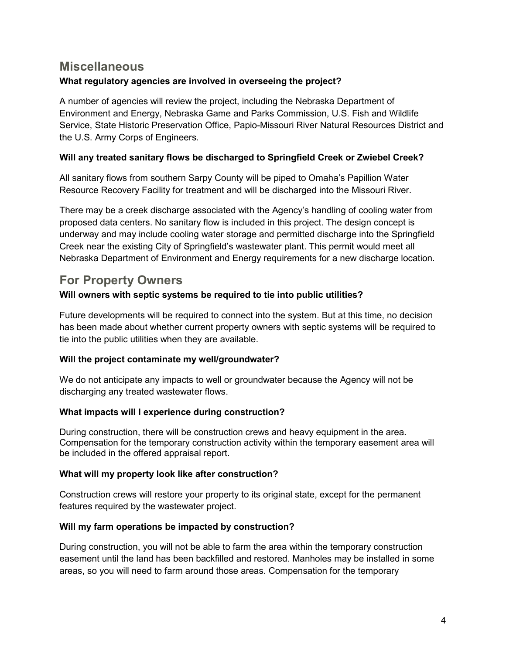## **Miscellaneous**

#### **What regulatory agencies are involved in overseeing the project?**

A number of agencies will review the project, including the Nebraska Department of Environment and Energy, Nebraska Game and Parks Commission, U.S. Fish and Wildlife Service, State Historic Preservation Office, Papio-Missouri River Natural Resources District and the U.S. Army Corps of Engineers.

#### **Will any treated sanitary flows be discharged to Springfield Creek or Zwiebel Creek?**

All sanitary flows from southern Sarpy County will be piped to Omaha's Papillion Water Resource Recovery Facility for treatment and will be discharged into the Missouri River.

There may be a creek discharge associated with the Agency's handling of cooling water from proposed data centers. No sanitary flow is included in this project. The design concept is underway and may include cooling water storage and permitted discharge into the Springfield Creek near the existing City of Springfield's wastewater plant. This permit would meet all Nebraska Department of Environment and Energy requirements for a new discharge location.

## **For Property Owners**

#### **Will owners with septic systems be required to tie into public utilities?**

Future developments will be required to connect into the system. But at this time, no decision has been made about whether current property owners with septic systems will be required to tie into the public utilities when they are available.

#### **Will the project contaminate my well/groundwater?**

We do not anticipate any impacts to well or groundwater because the Agency will not be discharging any treated wastewater flows.

#### **What impacts will I experience during construction?**

During construction, there will be construction crews and heavy equipment in the area. Compensation for the temporary construction activity within the temporary easement area will be included in the offered appraisal report.

#### **What will my property look like after construction?**

Construction crews will restore your property to its original state, except for the permanent features required by the wastewater project.

#### **Will my farm operations be impacted by construction?**

During construction, you will not be able to farm the area within the temporary construction easement until the land has been backfilled and restored. Manholes may be installed in some areas, so you will need to farm around those areas. Compensation for the temporary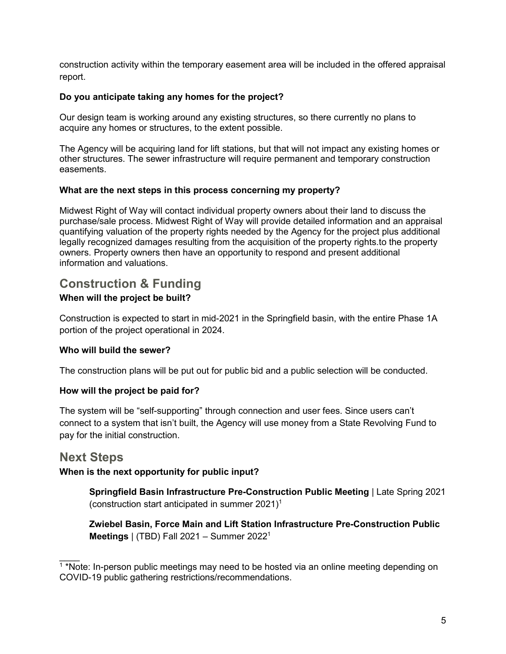construction activity within the temporary easement area will be included in the offered appraisal report.

#### **Do you anticipate taking any homes for the project?**

Our design team is working around any existing structures, so there currently no plans to acquire any homes or structures, to the extent possible.

The Agency will be acquiring land for lift stations, but that will not impact any existing homes or other structures. The sewer infrastructure will require permanent and temporary construction easements.

#### **What are the next steps in this process concerning my property?**

Midwest Right of Way will contact individual property owners about their land to discuss the purchase/sale process. Midwest Right of Way will provide detailed information and an appraisal quantifying valuation of the property rights needed by the Agency for the project plus additional legally recognized damages resulting from the acquisition of the property rights.to the property owners. Property owners then have an opportunity to respond and present additional information and valuations.

## **Construction & Funding When will the project be built?**

Construction is expected to start in mid-2021 in the Springfield basin, with the entire Phase 1A portion of the project operational in 2024.

#### **Who will build the sewer?**

The construction plans will be put out for public bid and a public selection will be conducted.

#### **How will the project be paid for?**

The system will be "self-supporting" through connection and user fees. Since users can't connect to a system that isn't built, the Agency will use money from a State Revolving Fund to pay for the initial construction.

## **Next Steps**

#### **When is the next opportunity for public input?**

**Springfield Basin Infrastructure Pre-Construction Public Meeting** | Late Spring 2021 (construction start anticipated in summer 2021)1

**Zwiebel Basin, Force Main and Lift Station Infrastructure Pre-Construction Public Meetings** | (TBD) Fall 2021 – Summer 20221

 $\overline{\phantom{a}}$  $1*$ Note: In-person public meetings may need to be hosted via an online meeting depending on COVID-19 public gathering restrictions/recommendations.